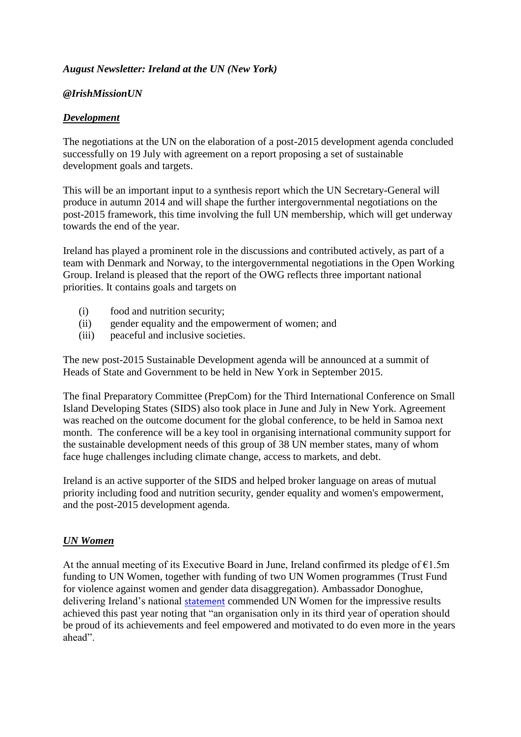## *August Newsletter: Ireland at the UN (New York)*

#### *@IrishMissionUN*

## *Development*

The negotiations at the UN on the elaboration of a post-2015 development agenda concluded successfully on 19 July with agreement on a report proposing a set of sustainable development goals and targets.

This will be an important input to a synthesis report which the UN Secretary-General will produce in autumn 2014 and will shape the further intergovernmental negotiations on the post-2015 framework, this time involving the full UN membership, which will get underway towards the end of the year.

Ireland has played a prominent role in the discussions and contributed actively, as part of a team with Denmark and Norway, to the intergovernmental negotiations in the Open Working Group. Ireland is pleased that the report of the OWG reflects three important national priorities. It contains goals and targets on

- (i) food and nutrition security;
- (ii) gender equality and the empowerment of women; and
- (iii) peaceful and inclusive societies.

The new post-2015 Sustainable Development agenda will be announced at a summit of Heads of State and Government to be held in New York in September 2015.

The final Preparatory Committee (PrepCom) for the Third International Conference on Small Island Developing States (SIDS) also took place in June and July in New York. Agreement was reached on the outcome document for the global conference, to be held in Samoa next month. The conference will be a key tool in organising international community support for the sustainable development needs of this group of 38 UN member states, many of whom face huge challenges including climate change, access to markets, and debt.

Ireland is an active supporter of the SIDS and helped broker language on areas of mutual priority including food and nutrition security, gender equality and women's empowerment, and the post-2015 development agenda.

## *UN Women*

At the annual meeting of its Executive Board in June, Ireland confirmed its pledge of  $E1.5m$ funding to UN Women, together with funding of two UN Women programmes (Trust Fund for violence against women and gender data disaggregation). Ambassador Donoghue, delivering Ireland's national [statement](http://web.dfa.ie/uploads/documents/New%20York%20PM/un%20women%20executive%20board-%20national%20statement_v2.pdf) commended UN Women for the impressive results achieved this past year noting that "an organisation only in its third year of operation should be proud of its achievements and feel empowered and motivated to do even more in the years ahead".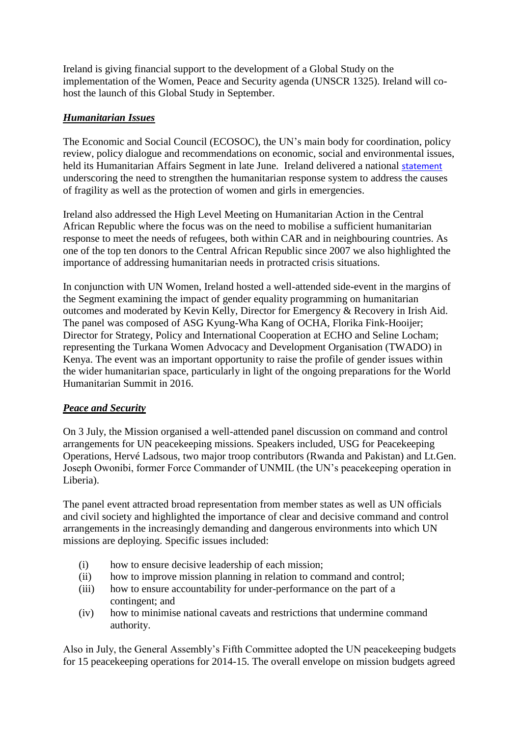Ireland is giving financial support to the development of a Global Study on the implementation of the Women, Peace and Security agenda (UNSCR 1325). Ireland will cohost the launch of this Global Study in September.

# *Humanitarian Issues*

The Economic and Social Council (ECOSOC), the UN's main body for coordination, policy review, policy dialogue and recommendations on economic, social and environmental issues, held its Humanitarian Affairs Segment in late June. Ireland delivered a national [statement](http://web.dfa.ie/uploads/documents/New%20York%20PM/ecosocnatstate2014%20(2).pdf) underscoring the need to strengthen the humanitarian response system to address the causes of fragility as well as the protection of women and girls in emergencies.

Ireland also addressed the High Level Meeting on Humanitarian Action in the Central African Republic where the focus was on the need to mobilise a sufficient humanitarian response to meet the needs of refugees, both within CAR and in neighbouring countries. As one of the top ten donors to the Central African Republic since 2007 we also highlighted the importance of addressing humanitarian needs in protracted crisis situations.

In conjunction with UN Women, Ireland hosted a well-attended side-event in the margins of the Segment examining the impact of gender equality programming on humanitarian outcomes and moderated by Kevin Kelly, Director for Emergency & Recovery in Irish Aid. The panel was composed of ASG Kyung-Wha Kang of OCHA, Florika Fink-Hooijer; Director for Strategy, Policy and International Cooperation at ECHO and Seline Locham; representing the Turkana Women Advocacy and Development Organisation (TWADO) in Kenya. The event was an important opportunity to raise the profile of gender issues within the wider humanitarian space, particularly in light of the ongoing preparations for the World Humanitarian Summit in 2016.

## *Peace and Security*

On 3 July, the Mission organised a well-attended panel discussion on command and control arrangements for UN peacekeeping missions. Speakers included, USG for Peacekeeping Operations, Hervé Ladsous, two major troop contributors (Rwanda and Pakistan) and Lt.Gen. Joseph Owonibi, former Force Commander of UNMIL (the UN's peacekeeping operation in Liberia).

The panel event attracted broad representation from member states as well as UN officials and civil society and highlighted the importance of clear and decisive command and control arrangements in the increasingly demanding and dangerous environments into which UN missions are deploying. Specific issues included:

- (i) how to ensure decisive leadership of each mission;
- (ii) how to improve mission planning in relation to command and control;
- (iii) how to ensure accountability for under-performance on the part of a contingent; and
- (iv) how to minimise national caveats and restrictions that undermine command authority.

Also in July, the General Assembly's Fifth Committee adopted the UN peacekeeping budgets for 15 peacekeeping operations for 2014-15. The overall envelope on mission budgets agreed